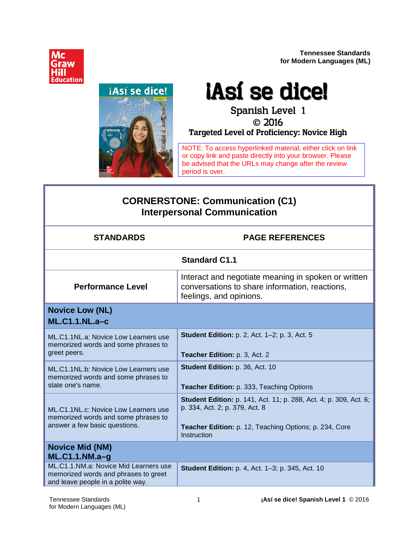**Tennessee Standards for Modern Languages (ML)**





# iAsí se dicel

 2016 **Targeted Level of Proficiency: Novice High**

NOTE: To access hyperlinked material, either click on link or copy link and paste directly into your browser. Please be advised that the URLs may change after the review period is over.

# **CORNERSTONE: Communication (C1) Interpersonal Communication**

| <b>STANDARDS</b>                                                                                                   | <b>PAGE REFERENCES</b>                                                                                                                                                       |
|--------------------------------------------------------------------------------------------------------------------|------------------------------------------------------------------------------------------------------------------------------------------------------------------------------|
|                                                                                                                    | <b>Standard C1.1</b>                                                                                                                                                         |
| <b>Performance Level</b>                                                                                           | Interact and negotiate meaning in spoken or written<br>conversations to share information, reactions,<br>feelings, and opinions.                                             |
| <b>Novice Low (NL)</b><br>$ML.C1.1.NL.a-c$                                                                         |                                                                                                                                                                              |
| ML.C1.1NL.a: Novice Low Learners use<br>memorized words and some phrases to<br>greet peers.                        | <b>Student Edition: p. 2, Act. 1-2; p. 3, Act. 5</b><br>Teacher Edition: p. 3, Act. 2                                                                                        |
| ML.C1.1NL.b: Novice Low Learners use<br>memorized words and some phrases to<br>state one's name.                   | Student Edition: p. 36, Act. 10<br>Teacher Edition: p. 333, Teaching Options                                                                                                 |
| ML.C1.1NL.c: Novice Low Learners use<br>memorized words and some phrases to<br>answer a few basic questions.       | Student Edition: p. 141, Act. 11; p. 288, Act. 4; p. 309, Act. 6;<br>p. 334, Act. 2; p. 379, Act. 8<br>Teacher Edition: p. 12, Teaching Options; p. 234, Core<br>Instruction |
| <b>Novice Mid (NM)</b><br>$ML.C1.1.NM.a-g$                                                                         |                                                                                                                                                                              |
| ML.C1.1.NM.a: Novice Mid Learners use<br>memorized words and phrases to greet<br>and leave people in a polite way. | <b>Student Edition: p. 4, Act. 1-3; p. 345, Act. 10</b>                                                                                                                      |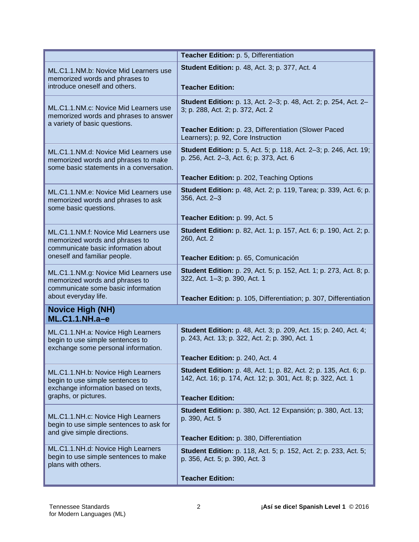|                                                                                                                                                | Teacher Edition: p. 5, Differentiation                                                                                                                                                                      |
|------------------------------------------------------------------------------------------------------------------------------------------------|-------------------------------------------------------------------------------------------------------------------------------------------------------------------------------------------------------------|
| ML.C1.1.NM.b: Novice Mid Learners use<br>memorized words and phrases to<br>introduce oneself and others.                                       | <b>Student Edition: p. 48, Act. 3; p. 377, Act. 4</b><br><b>Teacher Edition:</b>                                                                                                                            |
| ML.C1.1.NM.c: Novice Mid Learners use<br>memorized words and phrases to answer<br>a variety of basic questions.                                | <b>Student Edition:</b> p. 13, Act. 2–3; p. 48, Act. 2; p. 254, Act. 2–<br>3; p. 288, Act. 2; p. 372, Act. 2<br>Teacher Edition: p. 23, Differentiation (Slower Paced<br>Learners); p. 92, Core Instruction |
| ML.C1.1.NM.d: Novice Mid Learners use<br>memorized words and phrases to make<br>some basic statements in a conversation.                       | <b>Student Edition:</b> p. 5, Act. 5; p. 118, Act. 2-3; p. 246, Act. 19;<br>p. 256, Act. 2-3, Act. 6; p. 373, Act. 6<br>Teacher Edition: p. 202, Teaching Options                                           |
| ML.C1.1.NM.e: Novice Mid Learners use<br>memorized words and phrases to ask<br>some basic questions.                                           | <b>Student Edition:</b> p. 48, Act. 2; p. 119, Tarea; p. 339, Act. 6; p.<br>356, Act. 2-3<br>Teacher Edition: p. 99, Act. 5                                                                                 |
| ML.C1.1.NM.f: Novice Mid Learners use<br>memorized words and phrases to<br>communicate basic information about<br>oneself and familiar people. | <b>Student Edition:</b> p. 82, Act. 1; p. 157, Act. 6; p. 190, Act. 2; p.<br>260, Act. 2<br>Teacher Edition: p. 65, Comunicación                                                                            |
| ML.C1.1.NM.g: Novice Mid Learners use<br>memorized words and phrases to<br>communicate some basic information<br>about everyday life.          | <b>Student Edition:</b> p. 29, Act. 5; p. 152, Act. 1; p. 273, Act. 8; p.<br>322, Act. 1-3; p. 390, Act. 1<br>Teacher Edition: p. 105, Differentiation; p. 307, Differentiation                             |
| <b>Novice High (NH)</b><br><b>ML.C1.1.NH.a-e</b>                                                                                               |                                                                                                                                                                                                             |
| ML.C1.1.NH.a: Novice High Learners<br>begin to use simple sentences to<br>exchange some personal information.                                  | <b>Student Edition:</b> p. 48, Act. 3; p. 209, Act. 15; p. 240, Act. 4;<br>p. 243, Act. 13; p. 322, Act. 2; p. 390, Act. 1<br>Teacher Edition: p. 240, Act. 4                                               |
| ML.C1.1.NH.b: Novice High Learners<br>begin to use simple sentences to<br>exchange information based on texts,<br>graphs, or pictures.         | Student Edition: p. 48, Act. 1; p. 82, Act. 2; p. 135, Act. 6; p.<br>142, Act. 16; p. 174, Act. 12; p. 301, Act. 8; p. 322, Act. 1<br><b>Teacher Edition:</b>                                               |
| ML.C1.1.NH.c: Novice High Learners<br>begin to use simple sentences to ask for<br>and give simple directions.                                  | <b>Student Edition:</b> p. 380, Act. 12 Expansión; p. 380, Act. 13;<br>p. 390, Act. 5<br>Teacher Edition: p. 380, Differentiation                                                                           |
| ML.C1.1.NH.d: Novice High Learners<br>begin to use simple sentences to make<br>plans with others.                                              | <b>Student Edition:</b> p. 118, Act. 5; p. 152, Act. 2; p. 233, Act. 5;<br>p. 356, Act. 5; p. 390, Act. 3<br><b>Teacher Edition:</b>                                                                        |
|                                                                                                                                                |                                                                                                                                                                                                             |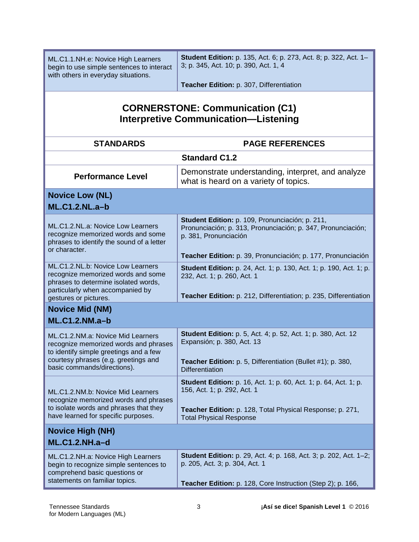| ML.C1.1.NH.e: Novice High Learners<br>begin to use simple sentences to interact<br>with others in everyday situations.                                                                      | <b>Student Edition:</b> p. 135, Act. 6; p. 273, Act. 8; p. 322, Act. 1-<br>3; p. 345, Act. 10; p. 390, Act. 1, 4                                                                            |
|---------------------------------------------------------------------------------------------------------------------------------------------------------------------------------------------|---------------------------------------------------------------------------------------------------------------------------------------------------------------------------------------------|
|                                                                                                                                                                                             | Teacher Edition: p. 307, Differentiation                                                                                                                                                    |
| <b>CORNERSTONE: Communication (C1)</b><br><b>Interpretive Communication-Listening</b>                                                                                                       |                                                                                                                                                                                             |
| <b>STANDARDS</b>                                                                                                                                                                            | <b>PAGE REFERENCES</b>                                                                                                                                                                      |
|                                                                                                                                                                                             | <b>Standard C1.2</b>                                                                                                                                                                        |
| <b>Performance Level</b>                                                                                                                                                                    | Demonstrate understanding, interpret, and analyze<br>what is heard on a variety of topics.                                                                                                  |
| <b>Novice Low (NL)</b>                                                                                                                                                                      |                                                                                                                                                                                             |
| <b>ML.C1.2.NL.a-b</b>                                                                                                                                                                       |                                                                                                                                                                                             |
| ML.C1.2.NL.a: Novice Low Learners<br>recognize memorized words and some<br>phrases to identify the sound of a letter<br>or character.                                                       | Student Edition: p. 109, Pronunciación; p. 211,<br>Pronunciación; p. 313, Pronunciación; p. 347, Pronunciación;<br>p. 381, Pronunciación                                                    |
|                                                                                                                                                                                             | Teacher Edition: p. 39, Pronunciación; p. 177, Pronunciación                                                                                                                                |
| ML.C1.2.NL.b: Novice Low Learners<br>recognize memorized words and some<br>phrases to determine isolated words,<br>particularly when accompanied by<br>gestures or pictures.                | <b>Student Edition:</b> p. 24, Act. 1; p. 130, Act. 1; p. 190, Act. 1; p.<br>232, Act. 1; p. 260, Act. 1<br>Teacher Edition: p. 212, Differentiation; p. 235, Differentiation               |
| <b>Novice Mid (NM)</b>                                                                                                                                                                      |                                                                                                                                                                                             |
| $ML.C1.2.NM.a-b$                                                                                                                                                                            |                                                                                                                                                                                             |
| ML.C1.2.NM.a: Novice Mid Learners<br>recognize memorized words and phrases<br>to identify simple greetings and a few<br>courtesy phrases (e.g. greetings and<br>basic commands/directions). | <b>Student Edition:</b> p. 5, Act. 4; p. 52, Act. 1; p. 380, Act. 12<br>Expansión; p. 380, Act. 13<br>Teacher Edition: p. 5, Differentiation (Bullet #1); p. 380,<br><b>Differentiation</b> |
|                                                                                                                                                                                             | <b>Student Edition:</b> p. 16, Act. 1; p. 60, Act. 1; p. 64, Act. 1; p.                                                                                                                     |
| ML.C1.2.NM.b: Novice Mid Learners                                                                                                                                                           | 156, Act. 1; p. 292, Act. 1                                                                                                                                                                 |
| recognize memorized words and phrases<br>to isolate words and phrases that they<br>have learned for specific purposes.                                                                      | Teacher Edition: p. 128, Total Physical Response; p. 271,<br><b>Total Physical Response</b>                                                                                                 |
| <b>Novice High (NH)</b>                                                                                                                                                                     |                                                                                                                                                                                             |
| <b>ML.C1.2.NH.a-d</b>                                                                                                                                                                       |                                                                                                                                                                                             |
| ML.C1.2.NH.a: Novice High Learners<br>begin to recognize simple sentences to<br>comprehend basic questions or<br>statements on familiar topics.                                             | <b>Student Edition:</b> p. 29, Act. 4; p. 168, Act. 3; p. 202, Act. 1-2;<br>p. 205, Act. 3; p. 304, Act. 1<br>Teacher Edition: p. 128, Core Instruction (Step 2); p. 166,                   |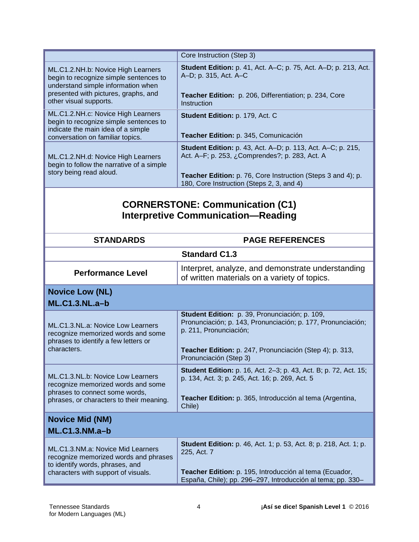|                                                                                                                                                                                      | Core Instruction (Step 3)                                                                                                                                                                                                                |
|--------------------------------------------------------------------------------------------------------------------------------------------------------------------------------------|------------------------------------------------------------------------------------------------------------------------------------------------------------------------------------------------------------------------------------------|
| ML.C1.2.NH.b: Novice High Learners<br>begin to recognize simple sentences to<br>understand simple information when<br>presented with pictures, graphs, and<br>other visual supports. | <b>Student Edition:</b> p. 41, Act. A–C; p. 75, Act. A–D; p. 213, Act.<br>A-D; p. 315, Act. A-C<br>Teacher Edition: p. 206, Differentiation; p. 234, Core<br>Instruction                                                                 |
| ML.C1.2.NH.c: Novice High Learners<br>begin to recognize simple sentences to<br>indicate the main idea of a simple<br>conversation on familiar topics.                               | Student Edition: p. 179, Act. C<br>Teacher Edition: p. 345, Comunicación                                                                                                                                                                 |
| ML.C1.2.NH.d: Novice High Learners<br>begin to follow the narrative of a simple<br>story being read aloud.                                                                           | <b>Student Edition:</b> p. 43, Act. A–D; p. 113, Act. A–C; p. 215,<br>Act. A-F; p. 253, ¿Comprendes?; p. 283, Act. A<br><b>Teacher Edition:</b> p. 76, Core Instruction (Steps 3 and 4); p.<br>180, Core Instruction (Steps 2, 3, and 4) |

## **CORNERSTONE: Communication (C1) Interpretive Communication—Reading**

| <b>STANDARDS</b>                                                                                                                                      | <b>PAGE REFERENCES</b>                                                                                                                                                                                                         |
|-------------------------------------------------------------------------------------------------------------------------------------------------------|--------------------------------------------------------------------------------------------------------------------------------------------------------------------------------------------------------------------------------|
| <b>Standard C1.3</b>                                                                                                                                  |                                                                                                                                                                                                                                |
| <b>Performance Level</b>                                                                                                                              | Interpret, analyze, and demonstrate understanding<br>of written materials on a variety of topics.                                                                                                                              |
| <b>Novice Low (NL)</b><br><b>ML.C1.3.NL.a-b</b>                                                                                                       |                                                                                                                                                                                                                                |
| ML.C1.3.NL.a: Novice Low Learners<br>recognize memorized words and some<br>phrases to identify a few letters or<br>characters.                        | Student Edition: p. 39, Pronunciación; p. 109,<br>Pronunciación; p. 143, Pronunciación; p. 177, Pronunciación;<br>p. 211, Pronunciación;<br>Teacher Edition: p. 247, Pronunciación (Step 4); p. 313,<br>Pronunciación (Step 3) |
| ML.C1.3.NL.b: Novice Low Learners<br>recognize memorized words and some<br>phrases to connect some words,<br>phrases, or characters to their meaning. | <b>Student Edition:</b> p. 16, Act. 2-3; p. 43, Act. B; p. 72, Act. 15;<br>p. 134, Act. 3; p. 245, Act. 16; p. 269, Act. 5<br>Teacher Edition: p. 365, Introducción al tema (Argentina,<br>Chile)                              |
| <b>Novice Mid (NM)</b><br><b>ML.C1.3.NM.a-b</b>                                                                                                       |                                                                                                                                                                                                                                |
| ML.C1.3.NM.a: Novice Mid Learners<br>recognize memorized words and phrases<br>to identify words, phrases, and<br>characters with support of visuals.  | <b>Student Edition:</b> p. 46, Act. 1; p. 53, Act. 8; p. 218, Act. 1; p.<br>225, Act. 7<br>Teacher Edition: p. 195, Introducción al tema (Ecuador,<br>España, Chile); pp. 296-297, Introducción al tema; pp. 330-              |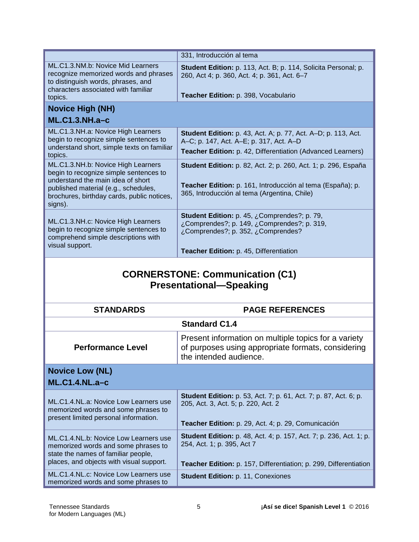|                                                                                                                                                                                                                    | 331, Introducción al tema                                                                                                                                                           |  |
|--------------------------------------------------------------------------------------------------------------------------------------------------------------------------------------------------------------------|-------------------------------------------------------------------------------------------------------------------------------------------------------------------------------------|--|
| ML.C1.3.NM.b: Novice Mid Learners<br>recognize memorized words and phrases<br>to distinguish words, phrases, and<br>characters associated with familiar                                                            | Student Edition: p. 113, Act. B; p. 114, Solicita Personal; p.<br>260, Act 4; p. 360, Act. 4; p. 361, Act. 6-7<br>Teacher Edition: p. 398, Vocabulario                              |  |
| topics.                                                                                                                                                                                                            |                                                                                                                                                                                     |  |
| <b>Novice High (NH)</b><br>$ML.C1.3.NH.a-c$                                                                                                                                                                        |                                                                                                                                                                                     |  |
| ML.C1.3.NH.a: Novice High Learners<br>begin to recognize simple sentences to<br>understand short, simple texts on familiar<br>topics.                                                                              | <b>Student Edition:</b> p. 43, Act. A; p. 77, Act. A-D; p. 113, Act.<br>A-C; p. 147, Act. A-E; p. 317, Act. A-D<br>Teacher Edition: p. 42, Differentiation (Advanced Learners)      |  |
| ML.C1.3.NH.b: Novice High Learners<br>begin to recognize simple sentences to<br>understand the main idea of short<br>published material (e.g., schedules,<br>brochures, birthday cards, public notices,<br>signs). | <b>Student Edition:</b> p. 82, Act. 2; p. 260, Act. 1; p. 296, España<br>Teacher Edition: p. 161, Introducción al tema (España); p.<br>365, Introducción al tema (Argentina, Chile) |  |
| ML.C1.3.NH.c: Novice High Learners<br>begin to recognize simple sentences to<br>comprehend simple descriptions with<br>visual support.                                                                             | Student Edition: p. 45, ¿Comprendes?; p. 79,<br>¿Comprendes?; p. 149, ¿Comprendes?; p. 319,<br>¿Comprendes?; p. 352, ¿Comprendes?<br>Teacher Edition: p. 45, Differentiation        |  |
| <b>CORNERSTONE: Communication (C1)</b><br><b>Presentational-Speaking</b>                                                                                                                                           |                                                                                                                                                                                     |  |
|                                                                                                                                                                                                                    |                                                                                                                                                                                     |  |
| <b>STANDARDS</b>                                                                                                                                                                                                   | <b>PAGE REFERENCES</b>                                                                                                                                                              |  |
|                                                                                                                                                                                                                    | <b>Standard C1.4</b>                                                                                                                                                                |  |
| <b>Performance Level</b>                                                                                                                                                                                           | Present information on multiple topics for a variety<br>of purposes using appropriate formats, considering<br>the intended audience.                                                |  |
|                                                                                                                                                                                                                    |                                                                                                                                                                                     |  |
| <b>Novice Low (NL)</b><br><b>ML.C1.4.NL.a-c</b>                                                                                                                                                                    |                                                                                                                                                                                     |  |
| ML.C1.4.NL.a: Novice Low Learners use<br>memorized words and some phrases to<br>present limited personal information.                                                                                              | <b>Student Edition:</b> p. 53, Act. 7; p. 61, Act. 7; p. 87, Act. 6; p.<br>205, Act. 3, Act. 5; p. 220, Act. 2<br>Teacher Edition: p. 29, Act. 4; p. 29, Comunicación               |  |
| ML.C1.4.NL.b: Novice Low Learners use<br>memorized words and some phrases to<br>state the names of familiar people,<br>places, and objects with visual support.                                                    | <b>Student Edition:</b> p. 48, Act. 4; p. 157, Act. 7; p. 236, Act. 1; p.<br>254, Act. 1; p. 395, Act 7<br>Teacher Edition: p. 157, Differentiation; p. 299, Differentiation        |  |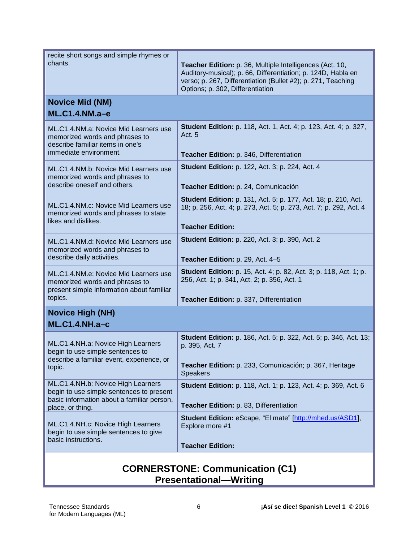| AONIFRATANIE.                                                                                                                                    | $\sim$                                                                                                                                                                                                                       |  |
|--------------------------------------------------------------------------------------------------------------------------------------------------|------------------------------------------------------------------------------------------------------------------------------------------------------------------------------------------------------------------------------|--|
| ML.C1.4.NH.c: Novice High Learners<br>begin to use simple sentences to give<br>basic instructions.                                               | Student Edition: eScape, "El mate" [http://mhed.us/ASD1],<br>Explore more #1<br><b>Teacher Edition:</b>                                                                                                                      |  |
| ML.C1.4.NH.b: Novice High Learners<br>begin to use simple sentences to present<br>basic information about a familiar person,<br>place, or thing. | <b>Student Edition:</b> p. 118, Act. 1; p. 123, Act. 4; p. 369, Act. 6<br>Teacher Edition: p. 83, Differentiation                                                                                                            |  |
| ML.C1.4.NH.a: Novice High Learners<br>begin to use simple sentences to<br>describe a familiar event, experience, or<br>topic.                    | <b>Student Edition:</b> p. 186, Act. 5; p. 322, Act. 5; p. 346, Act. 13;<br>p. 395, Act. 7<br>Teacher Edition: p. 233, Comunicación; p. 367, Heritage<br><b>Speakers</b>                                                     |  |
| <b>Novice High (NH)</b><br>$ML.C1.4.NH.a-C$                                                                                                      |                                                                                                                                                                                                                              |  |
| ML.C1.4.NM.e: Novice Mid Learners use<br>memorized words and phrases to<br>present simple information about familiar<br>topics.                  | <b>Student Edition:</b> p. 15, Act. 4; p. 82, Act. 3; p. 118, Act. 1; p.<br>256, Act. 1; p. 341, Act. 2; p. 356, Act. 1<br>Teacher Edition: p. 337, Differentiation                                                          |  |
| ML.C1.4.NM.d: Novice Mid Learners use<br>memorized words and phrases to<br>describe daily activities.                                            | <b>Student Edition:</b> p. 220, Act. 3; p. 390, Act. 2<br>Teacher Edition: p. 29, Act. 4-5                                                                                                                                   |  |
| ML.C1.4.NM.c: Novice Mid Learners use<br>memorized words and phrases to state<br>likes and dislikes.                                             | <b>Student Edition:</b> p. 131, Act. 5; p. 177, Act. 18; p. 210, Act.<br>18; p. 256, Act. 4; p. 273, Act. 5; p. 273, Act. 7; p. 292, Act. 4<br><b>Teacher Edition:</b>                                                       |  |
| ML.C1.4.NM.b: Novice Mid Learners use<br>memorized words and phrases to<br>describe oneself and others.                                          | <b>Student Edition: p. 122, Act. 3; p. 224, Act. 4</b><br>Teacher Edition: p. 24, Comunicación                                                                                                                               |  |
| ML.C1.4.NM.a: Novice Mid Learners use<br>memorized words and phrases to<br>describe familiar items in one's<br>immediate environment.            | <b>Student Edition:</b> p. 118, Act. 1, Act. 4; p. 123, Act. 4; p. 327,<br>Act. 5<br>Teacher Edition: p. 346, Differentiation                                                                                                |  |
| <b>Novice Mid (NM)</b><br>$ML.C1.4.NM.a-e$                                                                                                       |                                                                                                                                                                                                                              |  |
| recite short songs and simple rhymes or<br>chants.                                                                                               | Teacher Edition: p. 36, Multiple Intelligences (Act. 10,<br>Auditory-musical); p. 66, Differentiation; p. 124D, Habla en<br>verso; p. 267, Differentiation (Bullet #2); p. 271, Teaching<br>Options; p. 302, Differentiation |  |

#### **CORNERSTONE: Communication (C1) Presentational—Writing**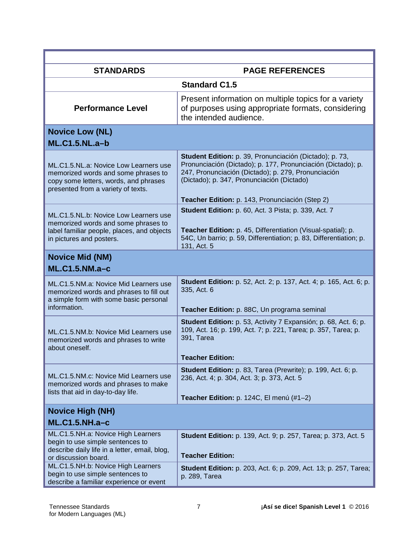| <b>STANDARDS</b>                                                                                                                                            | <b>PAGE REFERENCES</b>                                                                                                                                                                                                                                                          |
|-------------------------------------------------------------------------------------------------------------------------------------------------------------|---------------------------------------------------------------------------------------------------------------------------------------------------------------------------------------------------------------------------------------------------------------------------------|
|                                                                                                                                                             | <b>Standard C1.5</b>                                                                                                                                                                                                                                                            |
| <b>Performance Level</b>                                                                                                                                    | Present information on multiple topics for a variety<br>of purposes using appropriate formats, considering<br>the intended audience.                                                                                                                                            |
| <b>Novice Low (NL)</b><br><b>ML.C1.5.NL.a-b</b>                                                                                                             |                                                                                                                                                                                                                                                                                 |
| ML.C1.5.NL.a: Novice Low Learners use<br>memorized words and some phrases to<br>copy some letters, words, and phrases<br>presented from a variety of texts. | Student Edition: p. 39, Pronunciación (Dictado); p. 73,<br>Pronunciación (Dictado); p. 177, Pronunciación (Dictado); p.<br>247, Pronunciación (Dictado); p. 279, Pronunciación<br>(Dictado); p. 347, Pronunciación (Dictado)<br>Teacher Edition: p. 143, Pronunciación (Step 2) |
| ML.C1.5.NL.b: Novice Low Learners use<br>memorized words and some phrases to<br>label familiar people, places, and objects<br>in pictures and posters.      | <b>Student Edition: p. 60, Act. 3 Pista; p. 339, Act. 7</b><br>Teacher Edition: p. 45, Differentiation (Visual-spatial); p.<br>54C, Un barrio; p. 59, Differentiation; p. 83, Differentiation; p.<br>131, Act. 5                                                                |
| <b>Novice Mid (NM)</b><br>$ML.C1.5.NM.a-c$                                                                                                                  |                                                                                                                                                                                                                                                                                 |
| ML.C1.5.NM.a: Novice Mid Learners use<br>memorized words and phrases to fill out<br>a simple form with some basic personal<br>information.                  | <b>Student Edition:</b> p. 52, Act. 2; p. 137, Act. 4; p. 165, Act. 6; p.<br>335, Act. 6<br>Teacher Edition: p. 88C, Un programa seminal                                                                                                                                        |
| ML.C1.5.NM.b: Novice Mid Learners use<br>memorized words and phrases to write<br>about oneself.                                                             | Student Edition: p. 53, Activity 7 Expansión; p. 68, Act. 6; p.<br>109, Act. 16; p. 199, Act. 7; p. 221, Tarea; p. 357, Tarea; p.<br>391, Tarea<br><b>Teacher Edition:</b>                                                                                                      |
| ML.C1.5.NM.c: Novice Mid Learners use<br>memorized words and phrases to make<br>lists that aid in day-to-day life.                                          | Student Edition: p. 83, Tarea (Prewrite); p. 199, Act. 6; p.<br>236, Act. 4; p. 304, Act. 3; p. 373, Act. 5<br>Teacher Edition: p. 124C, El menú (#1-2)                                                                                                                         |
| <b>Novice High (NH)</b>                                                                                                                                     |                                                                                                                                                                                                                                                                                 |
| <b>ML.C1.5.NH.a-c</b>                                                                                                                                       |                                                                                                                                                                                                                                                                                 |
| ML.C1.5.NH.a: Novice High Learners<br>begin to use simple sentences to<br>describe daily life in a letter, email, blog,<br>or discussion board.             | <b>Student Edition:</b> p. 139, Act. 9; p. 257, Tarea; p. 373, Act. 5<br><b>Teacher Edition:</b>                                                                                                                                                                                |
| ML.C1.5.NH.b: Novice High Learners<br>begin to use simple sentences to<br>describe a familiar experience or event                                           | <b>Student Edition:</b> p. 203, Act. 6; p. 209, Act. 13; p. 257, Tarea;<br>p. 289, Tarea                                                                                                                                                                                        |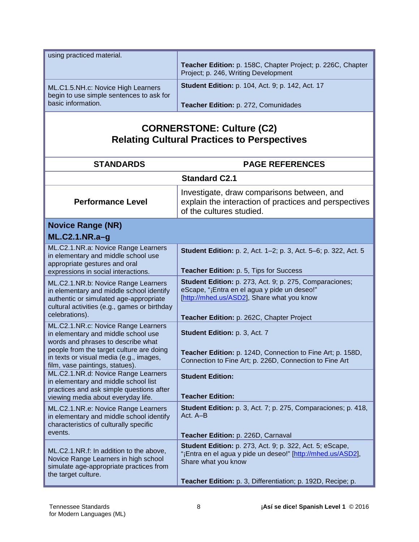| using practiced material.                                                      |                                                                                                     |
|--------------------------------------------------------------------------------|-----------------------------------------------------------------------------------------------------|
|                                                                                | Teacher Edition: p. 158C, Chapter Project; p. 226C, Chapter<br>Project; p. 246, Writing Development |
| ML.C1.5.NH.c: Novice High Learners<br>begin to use simple sentences to ask for | <b>Student Edition:</b> p. 104, Act. 9; p. 142, Act. 17                                             |
| basic information.                                                             | Teacher Edition: p. 272, Comunidades                                                                |

## **CORNERSTONE: Culture (C2) Relating Cultural Practices to Perspectives**

| <b>STANDARDS</b>                                                                                                                                                                                        | <b>PAGE REFERENCES</b>                                                                                                                                                                                        |
|---------------------------------------------------------------------------------------------------------------------------------------------------------------------------------------------------------|---------------------------------------------------------------------------------------------------------------------------------------------------------------------------------------------------------------|
|                                                                                                                                                                                                         | <b>Standard C2.1</b>                                                                                                                                                                                          |
| <b>Performance Level</b>                                                                                                                                                                                | Investigate, draw comparisons between, and<br>explain the interaction of practices and perspectives<br>of the cultures studied.                                                                               |
| <b>Novice Range (NR)</b><br>ML.C2.1.NR.a-g                                                                                                                                                              |                                                                                                                                                                                                               |
| ML.C2.1.NR.a: Novice Range Learners<br>in elementary and middle school use<br>appropriate gestures and oral<br>expressions in social interactions.                                                      | Student Edition: p. 2, Act. 1-2; p. 3, Act. 5-6; p. 322, Act. 5<br>Teacher Edition: p. 5, Tips for Success                                                                                                    |
| ML.C2.1.NR.b: Novice Range Learners<br>in elementary and middle school identify<br>authentic or simulated age-appropriate<br>cultural activities (e.g., games or birthday<br>celebrations).             | Student Edition: p. 273, Act. 9; p. 275, Comparaciones;<br>eScape, "¡Entra en el agua y pide un deseo!"<br>[http://mhed.us/ASD2], Share what you know<br>Teacher Edition: p. 262C, Chapter Project            |
| ML.C2.1.NR.c: Novice Range Learners<br>in elementary and middle school use<br>words and phrases to describe what<br>people from the target culture are doing<br>in texts or visual media (e.g., images, | Student Edition: p. 3, Act. 7<br>Teacher Edition: p. 124D, Connection to Fine Art; p. 158D,<br>Connection to Fine Art; p. 226D, Connection to Fine Art                                                        |
| film, vase paintings, statues).<br>ML.C2.1.NR.d: Novice Range Learners<br>in elementary and middle school list<br>practices and ask simple questions after<br>viewing media about everyday life.        | <b>Student Edition:</b><br><b>Teacher Edition:</b>                                                                                                                                                            |
| ML.C2.1.NR.e: Novice Range Learners<br>in elementary and middle school identify<br>characteristics of culturally specific<br>events.                                                                    | Student Edition: p. 3, Act. 7; p. 275, Comparaciones; p. 418,<br>Act. A-B<br>Teacher Edition: p. 226D, Carnaval                                                                                               |
| ML.C2.1.NR.f: In addition to the above,<br>Novice Range Learners in high school<br>simulate age-appropriate practices from<br>the target culture.                                                       | Student Edition: p. 273, Act. 9; p. 322, Act. 5; eScape,<br>"¡Entra en el agua y pide un deseo!" [http://mhed.us/ASD2],<br>Share what you know<br>Teacher Edition: p. 3, Differentiation; p. 192D, Recipe; p. |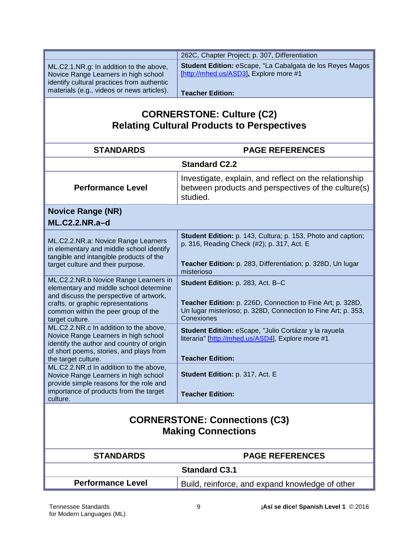|                                                                                    | 262C, Chapter Project; p. 307, Differentiation                                                             |
|------------------------------------------------------------------------------------|------------------------------------------------------------------------------------------------------------|
| ML.C2.1.NR.g: In addition to the above,                                            | Student Edition: eScape, "La Cabalgata de los Reyes Magos<br>[http://mhed.us/ASD3], Explore more #1        |
| Novice Range Learners in high school<br>identify cultural practices from authentic |                                                                                                            |
| materials (e.g., videos or news articles).                                         | <b>Teacher Edition:</b>                                                                                    |
|                                                                                    |                                                                                                            |
|                                                                                    |                                                                                                            |
|                                                                                    | <b>CORNERSTONE: Culture (C2)</b>                                                                           |
|                                                                                    | <b>Relating Cultural Products to Perspectives</b>                                                          |
|                                                                                    |                                                                                                            |
| <b>STANDARDS</b>                                                                   | <b>PAGE REFERENCES</b>                                                                                     |
|                                                                                    | <b>Standard C2.2</b>                                                                                       |
|                                                                                    | Investigate, explain, and reflect on the relationship                                                      |
| <b>Performance Level</b>                                                           | between products and perspectives of the culture(s)                                                        |
|                                                                                    | studied.                                                                                                   |
| <b>Novice Range (NR)</b>                                                           |                                                                                                            |
| <b>ML.C2.2.NR.a-d</b>                                                              |                                                                                                            |
|                                                                                    |                                                                                                            |
| ML.C2.2.NR.a: Novice Range Learners                                                | Student Edition: p. 143, Cultura; p. 153, Photo and caption;<br>p. 316, Reading Check (#2); p. 317, Act. E |
| in elementary and middle school identify                                           |                                                                                                            |
| tangible and intangible products of the<br>target culture and their purpose.       | Teacher Edition: p. 283, Differentiation; p. 328D, Un lugar                                                |
|                                                                                    | misterioso                                                                                                 |
| ML.C2.2.NR.b Novice Range Learners in                                              | Student Edition: p. 283, Act. B-C                                                                          |
| elementary and middle school determine<br>and discuss the perspective of artwork,  |                                                                                                            |
| crafts, or graphic representations                                                 | Teacher Edition: p. 226D, Connection to Fine Art; p. 328D,                                                 |
| common within the peer group of the                                                | Un lugar misterioso; p. 328D, Connection to Fine Art; p. 353,                                              |
| target culture.                                                                    | Conexiones                                                                                                 |
| ML.C2.2.NR.c In addition to the above,<br>Novice Range Learners in high school     | Student Edition: eScape, "Julio Cortázar y la rayuela                                                      |
| identify the author and country of origin                                          | literaria" [http://mhed.us/ASD4], Explore more #1                                                          |
| of short poems, stories, and plays from                                            |                                                                                                            |
| the target culture.<br>ML.C2.2.NR.d In addition to the above,                      | <b>Teacher Edition:</b>                                                                                    |
| Novice Range Learners in high school                                               | Student Edition: p. 317, Act. E                                                                            |
| provide simple reasons for the role and                                            |                                                                                                            |
| importance of products from the target                                             | <b>Teacher Edition:</b>                                                                                    |
| culture.                                                                           |                                                                                                            |
|                                                                                    |                                                                                                            |
|                                                                                    | <b>CORNERSTONE: Connections (C3)</b>                                                                       |
| <b>Making Connections</b>                                                          |                                                                                                            |
| <b>STANDARDS</b>                                                                   | <b>PAGE REFERENCES</b>                                                                                     |
|                                                                                    | <b>Standard C3.1</b>                                                                                       |
| <b>Performance Level</b>                                                           |                                                                                                            |
|                                                                                    | Build, reinforce, and expand knowledge of other                                                            |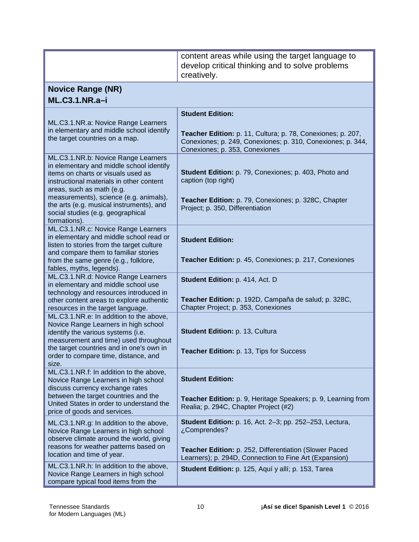|                                                                                                                                                         | content areas while using the target language to<br>develop critical thinking and to solve problems                                                          |
|---------------------------------------------------------------------------------------------------------------------------------------------------------|--------------------------------------------------------------------------------------------------------------------------------------------------------------|
|                                                                                                                                                         | creatively.                                                                                                                                                  |
| <b>Novice Range (NR)</b>                                                                                                                                |                                                                                                                                                              |
| $ML.C3.1.NR.a-i$                                                                                                                                        |                                                                                                                                                              |
|                                                                                                                                                         | <b>Student Edition:</b>                                                                                                                                      |
| ML.C3.1.NR.a: Novice Range Learners                                                                                                                     |                                                                                                                                                              |
| in elementary and middle school identify<br>the target countries on a map.                                                                              | Teacher Edition: p. 11, Cultura; p. 78, Conexiones; p. 207,<br>Conexiones; p. 249, Conexiones; p. 310, Conexiones; p. 344,<br>Conexiones; p. 353, Conexiones |
| ML.C3.1.NR.b: Novice Range Learners                                                                                                                     |                                                                                                                                                              |
| in elementary and middle school identify<br>items on charts or visuals used as<br>instructional materials in other content<br>areas, such as math (e.g. | Student Edition: p. 79, Conexiones; p. 403, Photo and<br>caption (top right)                                                                                 |
| measurements), science (e.g. animals),<br>the arts (e.g. musical instruments), and<br>social studies (e.g. geographical<br>formations).                 | Teacher Edition: p. 79, Conexiones; p. 328C, Chapter<br>Project; p. 350, Differentiation                                                                     |
| ML.C3.1.NR.c: Novice Range Learners                                                                                                                     |                                                                                                                                                              |
| in elementary and middle school read or<br>listen to stories from the target culture                                                                    | <b>Student Edition:</b>                                                                                                                                      |
| and compare them to familiar stories                                                                                                                    |                                                                                                                                                              |
| from the same genre (e.g., folklore,<br>fables, myths, legends).                                                                                        | Teacher Edition: p. 45, Conexiones; p. 217, Conexiones                                                                                                       |
| ML.C3.1.NR.d: Novice Range Learners                                                                                                                     | Student Edition: p. 414, Act. D                                                                                                                              |
| in elementary and middle school use<br>technology and resources introduced in                                                                           |                                                                                                                                                              |
| other content areas to explore authentic                                                                                                                | Teacher Edition: p. 192D, Campaña de salud; p. 328C,                                                                                                         |
| resources in the target language.                                                                                                                       | Chapter Project; p. 353, Conexiones                                                                                                                          |
| ML.C3.1.NR.e: In addition to the above,<br>Novice Range Learners in high school                                                                         |                                                                                                                                                              |
| identify the various systems (i.e.                                                                                                                      | Student Edition: p. 13, Cultura                                                                                                                              |
| measurement and time) used throughout<br>the target countries and in one's own in                                                                       |                                                                                                                                                              |
| order to compare time, distance, and                                                                                                                    | Teacher Edition: p. 13, Tips for Success                                                                                                                     |
| size.<br>ML.C3.1.NR.f: In addition to the above,                                                                                                        |                                                                                                                                                              |
| Novice Range Learners in high school                                                                                                                    | <b>Student Edition:</b>                                                                                                                                      |
| discuss currency exchange rates<br>between the target countries and the                                                                                 |                                                                                                                                                              |
| United States in order to understand the                                                                                                                | Teacher Edition: p. 9, Heritage Speakers; p. 9, Learning from<br>Realia; p. 294C, Chapter Project (#2)                                                       |
| price of goods and services.                                                                                                                            |                                                                                                                                                              |
| ML.C3.1.NR.g: In addition to the above,<br>Novice Range Learners in high school<br>observe climate around the world, giving                             | <b>Student Edition:</b> p. 16, Act. 2-3; pp. 252-253, Lectura,<br>¿Comprendes?                                                                               |
| reasons for weather patterns based on<br>location and time of year.                                                                                     | Teacher Edition: p. 252, Differentiation (Slower Paced<br>Learners); p. 294D, Connection to Fine Art (Expansion)                                             |
| ML.C3.1.NR.h: In addition to the above,<br>Novice Range Learners in high school<br>compare typical food items from the                                  | Student Edition: p. 125, Aquí y allí; p. 153, Tarea                                                                                                          |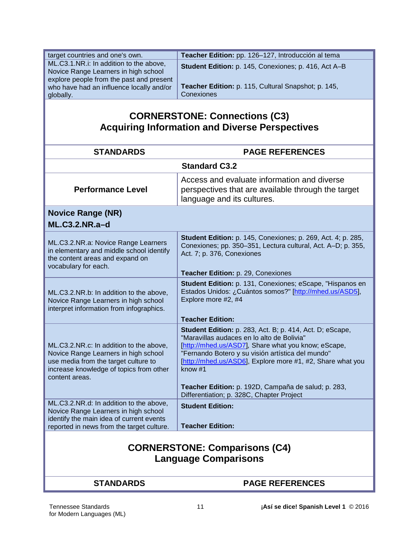| target countries and one's own.                                                  | Teacher Edition: pp. 126-127, Introducción al tema                                                                   |
|----------------------------------------------------------------------------------|----------------------------------------------------------------------------------------------------------------------|
| ML.C3.1.NR.i: In addition to the above,                                          | Student Edition: p. 145, Conexiones; p. 416, Act A-B                                                                 |
| Novice Range Learners in high school<br>explore people from the past and present |                                                                                                                      |
| who have had an influence locally and/or                                         | Teacher Edition: p. 115, Cultural Snapshot; p. 145,                                                                  |
| globally.                                                                        | Conexiones                                                                                                           |
|                                                                                  |                                                                                                                      |
|                                                                                  | <b>CORNERSTONE: Connections (C3)</b>                                                                                 |
|                                                                                  | <b>Acquiring Information and Diverse Perspectives</b>                                                                |
|                                                                                  |                                                                                                                      |
|                                                                                  |                                                                                                                      |
| <b>STANDARDS</b>                                                                 | <b>PAGE REFERENCES</b>                                                                                               |
|                                                                                  | <b>Standard C3.2</b>                                                                                                 |
|                                                                                  | Access and evaluate information and diverse                                                                          |
| <b>Performance Level</b>                                                         | perspectives that are available through the target                                                                   |
|                                                                                  | language and its cultures.                                                                                           |
| <b>Novice Range (NR)</b>                                                         |                                                                                                                      |
| <b>ML.C3.2.NR.a-d</b>                                                            |                                                                                                                      |
|                                                                                  |                                                                                                                      |
| ML.C3.2.NR.a: Novice Range Learners                                              | <b>Student Edition:</b> p. 145, Conexiones; p. 269, Act. 4; p. 285,                                                  |
| in elementary and middle school identify                                         | Conexiones; pp. 350-351, Lectura cultural, Act. A-D; p. 355,                                                         |
| the content areas and expand on                                                  | Act. 7; p. 376, Conexiones                                                                                           |
| vocabulary for each.                                                             |                                                                                                                      |
|                                                                                  | Teacher Edition: p. 29, Conexiones                                                                                   |
|                                                                                  | Student Edition: p. 131, Conexiones; eScape, "Hispanos en<br>Estados Unidos: ¿Cuántos somos?" [http://mhed.us/ASD5], |
| ML.C3.2.NR.b: In addition to the above,<br>Novice Range Learners in high school  | Explore more #2, #4                                                                                                  |
| interpret information from infographics.                                         |                                                                                                                      |
|                                                                                  | <b>Teacher Edition:</b>                                                                                              |
|                                                                                  | <b>Student Edition:</b> p. 283, Act. B; p. 414, Act. D; eScape,                                                      |
|                                                                                  | "Maravillas audaces en lo alto de Bolivia"                                                                           |
| ML.C3.2.NR.c: In addition to the above,                                          | [http://mhed.us/ASD7], Share what you know; eScape,                                                                  |
| Novice Range Learners in high school                                             | "Fernando Botero y su visión artística del mundo"                                                                    |
| use media from the target culture to<br>increase knowledge of topics from other  | [http://mhed.us/ASD6], Explore more #1, #2, Share what you<br>know #1                                                |
| content areas.                                                                   |                                                                                                                      |
|                                                                                  | Teacher Edition: p. 192D, Campaña de salud; p. 283,                                                                  |
|                                                                                  | Differentiation; p. 328C, Chapter Project                                                                            |
| ML.C3.2.NR.d: In addition to the above,                                          | <b>Student Edition:</b>                                                                                              |
| Novice Range Learners in high school<br>identify the main idea of current events |                                                                                                                      |
| reported in news from the target culture.                                        | <b>Teacher Edition:</b>                                                                                              |
|                                                                                  |                                                                                                                      |
| <b>CORNERSTONE: Comparisons (C4)</b>                                             |                                                                                                                      |
|                                                                                  |                                                                                                                      |
| <b>Language Comparisons</b>                                                      |                                                                                                                      |
|                                                                                  |                                                                                                                      |
| <b>STANDARDS</b>                                                                 | <b>PAGE REFERENCES</b>                                                                                               |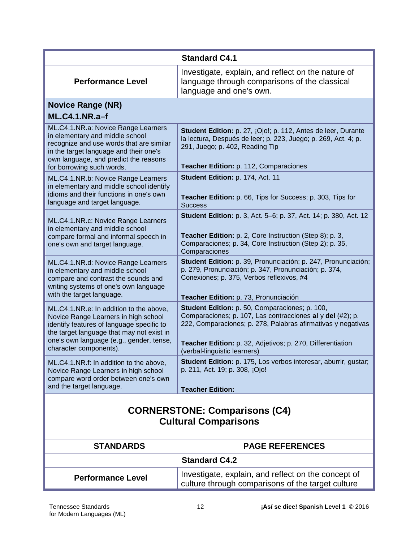|                                                                                                                                                                                                                                                 | <b>Standard C4.1</b>                                                                                                                                                                                                                                                       |
|-------------------------------------------------------------------------------------------------------------------------------------------------------------------------------------------------------------------------------------------------|----------------------------------------------------------------------------------------------------------------------------------------------------------------------------------------------------------------------------------------------------------------------------|
| <b>Performance Level</b>                                                                                                                                                                                                                        | Investigate, explain, and reflect on the nature of<br>language through comparisons of the classical<br>language and one's own.                                                                                                                                             |
| <b>Novice Range (NR)</b>                                                                                                                                                                                                                        |                                                                                                                                                                                                                                                                            |
| <b>ML.C4.1.NR.a-f</b>                                                                                                                                                                                                                           |                                                                                                                                                                                                                                                                            |
| ML.C4.1.NR.a: Novice Range Learners<br>in elementary and middle school<br>recognize and use words that are similar<br>in the target language and their one's<br>own language, and predict the reasons<br>for borrowing such words.              | Student Edition: p. 27, ¡Ojo!; p. 112, Antes de leer, Durante<br>la lectura, Después de leer; p. 223, Juego; p. 269, Act. 4; p.<br>291, Juego; p. 402, Reading Tip<br>Teacher Edition: p. 112, Comparaciones                                                               |
| ML.C4.1.NR.b: Novice Range Learners<br>in elementary and middle school identify<br>idioms and their functions in one's own<br>language and target language.                                                                                     | Student Edition: p. 174, Act. 11<br>Teacher Edition: p. 66, Tips for Success; p. 303, Tips for<br><b>Success</b>                                                                                                                                                           |
| ML.C4.1.NR.c: Novice Range Learners<br>in elementary and middle school<br>compare formal and informal speech in<br>one's own and target language.                                                                                               | Student Edition: p. 3, Act. 5-6; p. 37, Act. 14; p. 380, Act. 12<br>Teacher Edition: p. 2, Core Instruction (Step 8); p. 3,<br>Comparaciones; p. 34, Core Instruction (Step 2); p. 35,<br>Comparaciones                                                                    |
| ML.C4.1.NR.d: Novice Range Learners<br>in elementary and middle school<br>compare and contrast the sounds and<br>writing systems of one's own language<br>with the target language.                                                             | Student Edition: p. 39, Pronunciación; p. 247, Pronunciación;<br>p. 279, Pronunciación; p. 347, Pronunciación; p. 374,<br>Conexiones; p. 375, Verbos reflexivos, #4<br>Teacher Edition: p. 73, Pronunciación                                                               |
| ML.C4.1.NR.e: In addition to the above,<br>Novice Range Learners in high school<br>identify features of language specific to<br>the target language that may not exist in<br>one's own language (e.g., gender, tense,<br>character components). | Student Edition: p. 50, Comparaciones; p. 100,<br>Comparaciones; p. 107, Las contracciones al y del (#2); p.<br>222, Comparaciones; p. 278, Palabras afirmativas y negativas<br>Teacher Edition: p. 32, Adjetivos; p. 270, Differentiation<br>(verbal-linguistic learners) |
| ML.C4.1.NR.f: In addition to the above,<br>Novice Range Learners in high school<br>compare word order between one's own<br>and the target language.                                                                                             | Student Edition: p. 175, Los verbos interesar, aburrir, gustar;<br>p. 211, Act. 19; p. 308, ¡Ojo!<br><b>Teacher Edition:</b>                                                                                                                                               |
| <b>CORNERSTONE: Comparisons (C4)</b><br><b>Cultural Comparisons</b>                                                                                                                                                                             |                                                                                                                                                                                                                                                                            |
| <b>STANDARDS</b>                                                                                                                                                                                                                                | <b>PAGE REFERENCES</b>                                                                                                                                                                                                                                                     |
| <b>Standard C4.2</b>                                                                                                                                                                                                                            |                                                                                                                                                                                                                                                                            |
| <b>Performance Level</b>                                                                                                                                                                                                                        | Investigate, explain, and reflect on the concept of<br>culture through comparisons of the target culture                                                                                                                                                                   |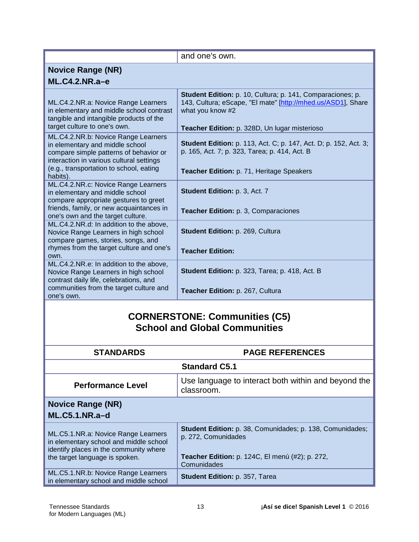|                                                                                                                                                                                                                     | and one's own.                                                                                                                                                                                  |
|---------------------------------------------------------------------------------------------------------------------------------------------------------------------------------------------------------------------|-------------------------------------------------------------------------------------------------------------------------------------------------------------------------------------------------|
| <b>Novice Range (NR)</b>                                                                                                                                                                                            |                                                                                                                                                                                                 |
| $ML.C4.2.NR.a-e$                                                                                                                                                                                                    |                                                                                                                                                                                                 |
| ML.C4.2.NR.a: Novice Range Learners<br>in elementary and middle school contrast<br>tangible and intangible products of the<br>target culture to one's own.                                                          | Student Edition: p. 10, Cultura; p. 141, Comparaciones; p.<br>143, Cultura; eScape, "El mate" [http://mhed.us/ASD1], Share<br>what you know #2<br>Teacher Edition: p. 328D, Un lugar misterioso |
| ML.C4.2.NR.b: Novice Range Learners<br>in elementary and middle school<br>compare simple patterns of behavior or<br>interaction in various cultural settings<br>(e.g., transportation to school, eating<br>habits). | <b>Student Edition:</b> p. 113, Act. C; p. 147, Act. D; p. 152, Act. 3;<br>p. 165, Act. 7; p. 323, Tarea; p. 414, Act. B<br>Teacher Edition: p. 71, Heritage Speakers                           |
| ML.C4.2.NR.c: Novice Range Learners<br>in elementary and middle school<br>compare appropriate gestures to greet<br>friends, family, or new acquaintances in<br>one's own and the target culture.                    | Student Edition: p. 3, Act. 7<br>Teacher Edition: p. 3, Comparaciones                                                                                                                           |
| ML.C4.2.NR.d: In addition to the above,<br>Novice Range Learners in high school<br>compare games, stories, songs, and<br>rhymes from the target culture and one's<br>own.                                           | Student Edition: p. 269, Cultura<br><b>Teacher Edition:</b>                                                                                                                                     |
| ML.C4.2.NR.e: In addition to the above,<br>Novice Range Learners in high school<br>contrast daily life, celebrations, and<br>communities from the target culture and<br>one's own.                                  | Student Edition: p. 323, Tarea; p. 418, Act. B<br>Teacher Edition: p. 267, Cultura                                                                                                              |
| <b>CORNERSTONE: Communities (C5)</b><br><b>School and Global Communities</b>                                                                                                                                        |                                                                                                                                                                                                 |
| <b>STANDARDS</b>                                                                                                                                                                                                    | <b>PAGE REFERENCES</b>                                                                                                                                                                          |
| <b>Standard C5.1</b>                                                                                                                                                                                                |                                                                                                                                                                                                 |
| <b>Performance Level</b>                                                                                                                                                                                            | Use language to interact both within and beyond the<br>classroom.                                                                                                                               |
| <b>Novice Range (NR)</b><br>ML.C5.1.NR.a-d                                                                                                                                                                          |                                                                                                                                                                                                 |
|                                                                                                                                                                                                                     | <b>Student Edition:</b> p. 38, Comunidades; p. 138, Comunidades;                                                                                                                                |

| ML.C5.1.NR.a: Novice Range Learners<br>in elementary school and middle school<br>identify places in the community where | Student Edition: p. 38, Comunidades; p. 138, Comunidades;<br>p. 272, Comunidades |
|-------------------------------------------------------------------------------------------------------------------------|----------------------------------------------------------------------------------|
| the target language is spoken.                                                                                          | Teacher Edition: p. 124C, El menú (#2); p. 272,                                  |
|                                                                                                                         | Comunidades                                                                      |
| ML.C5.1.NR.b: Novice Range Learners                                                                                     | Student Edition: p. 357, Tarea                                                   |
| in elementary school and middle school                                                                                  |                                                                                  |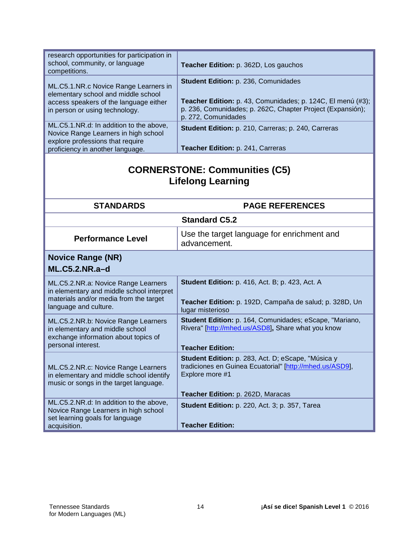| research opportunities for participation in<br>school, community, or language<br>competitions. | Teacher Edition: p. 362D, Los gauchos                                             |  |
|------------------------------------------------------------------------------------------------|-----------------------------------------------------------------------------------|--|
|                                                                                                |                                                                                   |  |
| ML.C5.1.NR.c Novice Range Learners in                                                          | Student Edition: p. 236, Comunidades                                              |  |
| elementary school and middle school                                                            |                                                                                   |  |
| access speakers of the language either                                                         | Teacher Edition: p. 43, Comunidades; p. 124C, El menú (#3);                       |  |
| in person or using technology.                                                                 | p. 236, Comunidades; p. 262C, Chapter Project (Expansión);<br>p. 272, Comunidades |  |
| ML.C5.1.NR.d: In addition to the above,                                                        | Student Edition: p. 210, Carreras; p. 240, Carreras                               |  |
| Novice Range Learners in high school                                                           |                                                                                   |  |
| explore professions that require<br>proficiency in another language.                           | Teacher Edition: p. 241, Carreras                                                 |  |
|                                                                                                |                                                                                   |  |
| <b>CORNERSTONE: Communities (C5)</b><br><b>Lifelong Learning</b>                               |                                                                                   |  |
| <b>STANDARDS</b>                                                                               | <b>PAGE REFERENCES</b>                                                            |  |
| <b>Standard C5.2</b>                                                                           |                                                                                   |  |
| <b>Performance Level</b>                                                                       | Use the target language for enrichment and<br>advancement.                        |  |
| <b>Novice Range (NR)</b>                                                                       |                                                                                   |  |
| <b>ML.C5.2.NR.a-d</b>                                                                          |                                                                                   |  |
| ML.C5.2.NR.a: Novice Range Learners                                                            | <b>Student Edition: p. 416, Act. B; p. 423, Act. A</b>                            |  |
| in elementary and middle school interpret                                                      |                                                                                   |  |
| materials and/or media from the target                                                         | Teacher Edition: p. 192D, Campaña de salud; p. 328D, Un                           |  |
| language and culture.                                                                          | lugar misterioso                                                                  |  |
| ML.C5.2.NR.b: Novice Range Learners                                                            | Student Edition: p. 164, Comunidades; eScape, "Mariano,                           |  |
| in elementary and middle school                                                                | Rivera" [http://mhed.us/ASD8], Share what you know                                |  |
| exchange information about topics of                                                           |                                                                                   |  |
| personal interest.                                                                             | <b>Teacher Edition:</b>                                                           |  |
|                                                                                                | Student Edition: p. 283, Act. D; eScape, "Música y                                |  |
| ML.C5.2.NR.c: Novice Range Learners                                                            | tradiciones en Guinea Ecuatorial" [http://mhed.us/ASD9],                          |  |
| in elementary and middle school identify                                                       | Explore more #1                                                                   |  |
| music or songs in the target language.                                                         |                                                                                   |  |
|                                                                                                | Teacher Edition: p. 262D, Maracas                                                 |  |
| ML.C5.2.NR.d: In addition to the above,                                                        | <b>Student Edition: p. 220, Act. 3; p. 357, Tarea</b>                             |  |
| Novice Range Learners in high school                                                           |                                                                                   |  |
| set learning goals for language<br>acquisition.                                                | <b>Teacher Edition:</b>                                                           |  |
|                                                                                                |                                                                                   |  |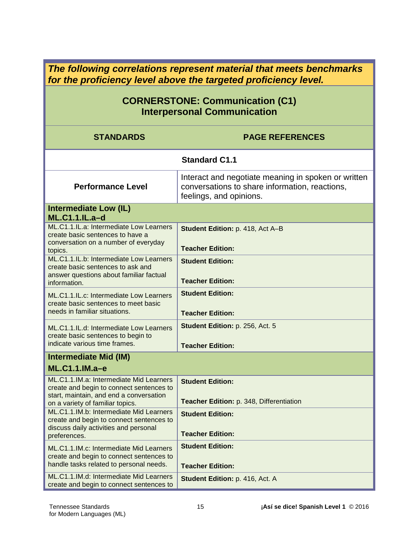*The following correlations represent material that meets benchmarks for the proficiency level above the targeted proficiency level.*

## **CORNERSTONE: Communication (C1) Interpersonal Communication**

| <b>STANDARDS</b>                                                                                                                                                   | <b>PAGE REFERENCES</b>                                                                                                           |
|--------------------------------------------------------------------------------------------------------------------------------------------------------------------|----------------------------------------------------------------------------------------------------------------------------------|
|                                                                                                                                                                    | <b>Standard C1.1</b>                                                                                                             |
| <b>Performance Level</b>                                                                                                                                           | Interact and negotiate meaning in spoken or written<br>conversations to share information, reactions,<br>feelings, and opinions. |
| <b>Intermediate Low (IL)</b><br><b>ML.C1.1.IL.a-d</b>                                                                                                              |                                                                                                                                  |
| ML.C1.1.IL.a: Intermediate Low Learners<br>create basic sentences to have a<br>conversation on a number of everyday<br>topics.                                     | Student Edition: p. 418, Act A-B<br><b>Teacher Edition:</b>                                                                      |
| ML.C1.1.IL.b: Intermediate Low Learners<br>create basic sentences to ask and<br>answer questions about familiar factual<br>information.                            | <b>Student Edition:</b><br><b>Teacher Edition:</b>                                                                               |
| ML.C1.1.IL.c: Intermediate Low Learners<br>create basic sentences to meet basic<br>needs in familiar situations.                                                   | <b>Student Edition:</b><br><b>Teacher Edition:</b>                                                                               |
| ML.C1.1.IL.d: Intermediate Low Learners<br>create basic sentences to begin to<br>indicate various time frames.                                                     | Student Edition: p. 256, Act. 5<br><b>Teacher Edition:</b>                                                                       |
| <b>Intermediate Mid (IM)</b><br>ML.C1.1.IM.a-e                                                                                                                     |                                                                                                                                  |
| ML.C1.1.IM.a: Intermediate Mid Learners<br>create and begin to connect sentences to<br>start, maintain, and end a conversation<br>on a variety of familiar topics. | <b>Student Edition:</b><br>Teacher Edition: p. 348, Differentiation                                                              |
| ML.C1.1.IM.b: Intermediate Mid Learners<br>create and begin to connect sentences to<br>discuss daily activities and personal<br>preferences.                       | <b>Student Edition:</b><br><b>Teacher Edition:</b>                                                                               |
| ML.C1.1.IM.c: Intermediate Mid Learners<br>create and begin to connect sentences to<br>handle tasks related to personal needs.                                     | <b>Student Edition:</b><br><b>Teacher Edition:</b>                                                                               |
| ML.C1.1.IM.d: Intermediate Mid Learners<br>create and begin to connect sentences to                                                                                | <b>Student Edition: p. 416, Act. A</b>                                                                                           |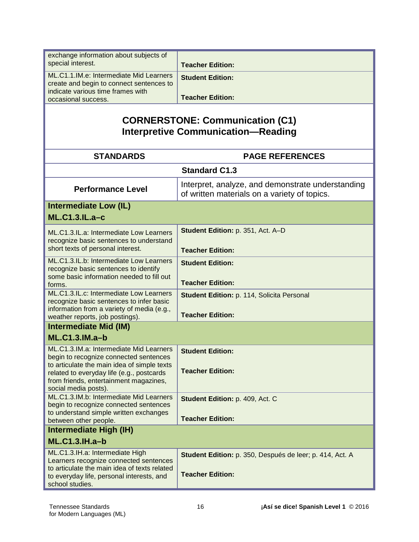| exchange information about subjects of<br>special interest.                                                              | <b>Teacher Edition:</b>                                                                           |
|--------------------------------------------------------------------------------------------------------------------------|---------------------------------------------------------------------------------------------------|
| ML.C1.1.IM.e: Intermediate Mid Learners<br>create and begin to connect sentences to<br>indicate various time frames with | <b>Student Edition:</b>                                                                           |
| occasional success.                                                                                                      | <b>Teacher Edition:</b>                                                                           |
|                                                                                                                          | <b>CORNERSTONE: Communication (C1)</b><br><b>Interpretive Communication-Reading</b>               |
|                                                                                                                          |                                                                                                   |
| <b>STANDARDS</b>                                                                                                         | <b>PAGE REFERENCES</b>                                                                            |
|                                                                                                                          | <b>Standard C1.3</b>                                                                              |
| <b>Performance Level</b>                                                                                                 | Interpret, analyze, and demonstrate understanding<br>of written materials on a variety of topics. |
| <b>Intermediate Low (IL)</b>                                                                                             |                                                                                                   |
| <b>ML.C1.3.IL.a-c</b>                                                                                                    |                                                                                                   |
| ML.C1.3.IL.a: Intermediate Low Learners                                                                                  | Student Edition: p. 351, Act. A-D                                                                 |
| recognize basic sentences to understand<br>short texts of personal interest.                                             |                                                                                                   |
| ML.C1.3.IL.b: Intermediate Low Learners                                                                                  | <b>Teacher Edition:</b>                                                                           |
| recognize basic sentences to identify                                                                                    | <b>Student Edition:</b>                                                                           |
| some basic information needed to fill out<br>forms.                                                                      | <b>Teacher Edition:</b>                                                                           |
| ML.C1.3.IL.c: Intermediate Low Learners<br>recognize basic sentences to infer basic                                      | Student Edition: p. 114, Solicita Personal                                                        |
| information from a variety of media (e.g.,                                                                               |                                                                                                   |
| weather reports, job postings).                                                                                          | <b>Teacher Edition:</b>                                                                           |
| <b>Intermediate Mid (IM)</b>                                                                                             |                                                                                                   |
| <b>ML.C1.3.IM.a-b</b>                                                                                                    |                                                                                                   |
| ML.C1.3.IM.a: Intermediate Mid Learners<br>begin to recognize connected sentences                                        | <b>Student Edition:</b>                                                                           |
| to articulate the main idea of simple texts                                                                              | <b>Teacher Edition:</b>                                                                           |
| related to everyday life (e.g., postcards<br>from friends, entertainment magazines,                                      |                                                                                                   |
| social media posts).<br>ML.C1.3.IM.b: Intermediate Mid Learners                                                          |                                                                                                   |
| begin to recognize connected sentences                                                                                   | Student Edition: p. 409, Act. C                                                                   |
| to understand simple written exchanges<br>between other people.                                                          | <b>Teacher Edition:</b>                                                                           |
| Intermediate High (IH)                                                                                                   |                                                                                                   |
| <b>ML.C1.3.IH.a-b</b>                                                                                                    |                                                                                                   |
| ML.C1.3.IH.a: Intermediate High                                                                                          | Student Edition: p. 350, Después de leer; p. 414, Act. A                                          |
| Learners recognize connected sentences<br>to articulate the main idea of texts related                                   |                                                                                                   |
| to everyday life, personal interests, and<br>school studies.                                                             | <b>Teacher Edition:</b>                                                                           |
|                                                                                                                          |                                                                                                   |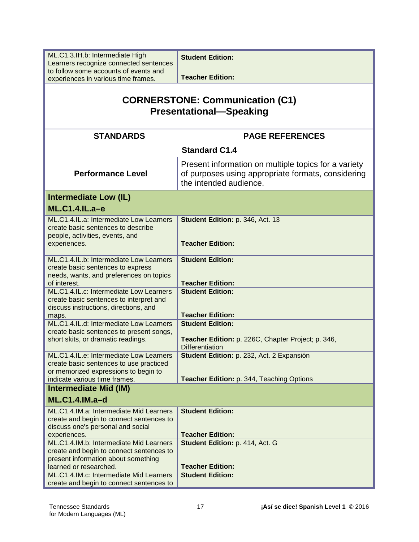| ML.C1.3.IH.b: Intermediate High<br>Learners recognize connected sentences                                                                                   | <b>Student Edition:</b>                                                                                                              |
|-------------------------------------------------------------------------------------------------------------------------------------------------------------|--------------------------------------------------------------------------------------------------------------------------------------|
| to follow some accounts of events and<br>experiences in various time frames.                                                                                | <b>Teacher Edition:</b>                                                                                                              |
| <b>CORNERSTONE: Communication (C1)</b><br><b>Presentational-Speaking</b>                                                                                    |                                                                                                                                      |
| <b>STANDARDS</b>                                                                                                                                            | <b>PAGE REFERENCES</b>                                                                                                               |
|                                                                                                                                                             | <b>Standard C1.4</b>                                                                                                                 |
| <b>Performance Level</b>                                                                                                                                    | Present information on multiple topics for a variety<br>of purposes using appropriate formats, considering<br>the intended audience. |
| <b>Intermediate Low (IL)</b>                                                                                                                                |                                                                                                                                      |
| <b>ML.C1.4.IL.a-e</b>                                                                                                                                       |                                                                                                                                      |
| ML.C1.4.IL.a: Intermediate Low Learners<br>create basic sentences to describe<br>people, activities, events, and<br>experiences.                            | Student Edition: p. 346, Act. 13<br><b>Teacher Edition:</b>                                                                          |
| ML.C1.4.IL.b: Intermediate Low Learners<br>create basic sentences to express<br>needs, wants, and preferences on topics<br>of interest.                     | <b>Student Edition:</b><br><b>Teacher Edition:</b>                                                                                   |
| ML.C1.4.IL.c: Intermediate Low Learners<br>create basic sentences to interpret and<br>discuss instructions, directions, and<br>maps.                        | <b>Student Edition:</b><br><b>Teacher Edition:</b>                                                                                   |
| ML.C1.4.IL.d: Intermediate Low Learners<br>create basic sentences to present songs,<br>short skits, or dramatic readings.                                   | <b>Student Edition:</b><br>Teacher Edition: p. 226C, Chapter Project; p. 346,<br><b>Differentiation</b>                              |
| ML.C1.4.IL.e: Intermediate Low Learners<br>create basic sentences to use practiced<br>or memorized expressions to begin to<br>indicate various time frames. | Student Edition: p. 232, Act. 2 Expansión<br>Teacher Edition: p. 344, Teaching Options                                               |
| <b>Intermediate Mid (IM)</b>                                                                                                                                |                                                                                                                                      |
| $ML.C1.4.IM.a-d$                                                                                                                                            |                                                                                                                                      |
| ML.C1.4.IM.a: Intermediate Mid Learners<br>create and begin to connect sentences to<br>discuss one's personal and social<br>experiences.                    | <b>Student Edition:</b><br><b>Teacher Edition:</b>                                                                                   |
| ML.C1.4.IM.b: Intermediate Mid Learners<br>create and begin to connect sentences to<br>present information about something<br>learned or researched.        | Student Edition: p. 414, Act. G<br><b>Teacher Edition:</b>                                                                           |
| ML.C1.4.IM.c: Intermediate Mid Learners<br>create and begin to connect sentences to                                                                         | <b>Student Edition:</b>                                                                                                              |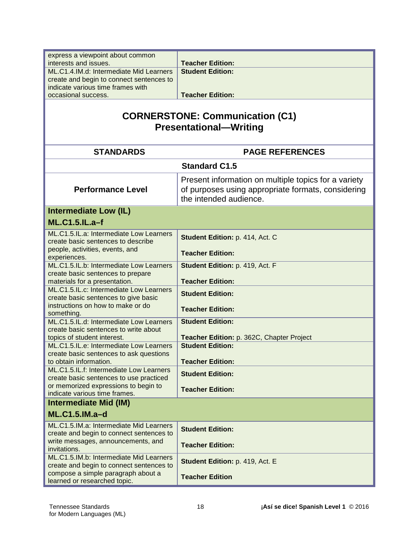| express a viewpoint about common                                               |                                                      |
|--------------------------------------------------------------------------------|------------------------------------------------------|
| interests and issues.                                                          | <b>Teacher Edition:</b>                              |
| ML.C1.4.IM.d: Intermediate Mid Learners                                        | <b>Student Edition:</b>                              |
| create and begin to connect sentences to                                       |                                                      |
| indicate various time frames with                                              |                                                      |
| occasional success.                                                            | <b>Teacher Edition:</b>                              |
|                                                                                |                                                      |
| <b>CORNERSTONE: Communication (C1)</b><br><b>Presentational-Writing</b>        |                                                      |
| <b>STANDARDS</b>                                                               | <b>PAGE REFERENCES</b>                               |
|                                                                                | <b>Standard C1.5</b>                                 |
|                                                                                | Present information on multiple topics for a variety |
| <b>Performance Level</b>                                                       | of purposes using appropriate formats, considering   |
|                                                                                | the intended audience.                               |
| <b>Intermediate Low (IL)</b>                                                   |                                                      |
|                                                                                |                                                      |
| <b>ML.C1.5.IL.a-f</b>                                                          |                                                      |
| ML.C1.5.IL.a: Intermediate Low Learners                                        | Student Edition: p. 414, Act. C                      |
| create basic sentences to describe                                             |                                                      |
| people, activities, events, and                                                | <b>Teacher Edition:</b>                              |
| experiences.<br>ML.C1.5.IL.b: Intermediate Low Learners                        | Student Edition: p. 419, Act. F                      |
| create basic sentences to prepare                                              |                                                      |
| materials for a presentation.                                                  | <b>Teacher Edition:</b>                              |
| ML.C1.5.IL.c: Intermediate Low Learners                                        | <b>Student Edition:</b>                              |
| create basic sentences to give basic                                           |                                                      |
| instructions on how to make or do                                              | <b>Teacher Edition:</b>                              |
| something.                                                                     |                                                      |
| ML.C1.5.IL.d: Intermediate Low Learners                                        | <b>Student Edition:</b>                              |
| create basic sentences to write about<br>topics of student interest.           | Teacher Edition: p. 362C, Chapter Project            |
| ML.C1.5.IL.e: Intermediate Low Learners                                        | <b>Student Edition:</b>                              |
| create basic sentences to ask questions                                        |                                                      |
| to obtain information.                                                         | <b>Teacher Edition:</b>                              |
| ML.C1.5.IL.f: Intermediate Low Learners                                        | <b>Student Edition:</b>                              |
| create basic sentences to use practiced                                        |                                                      |
| or memorized expressions to begin to                                           | <b>Teacher Edition:</b>                              |
| indicate various time frames.                                                  |                                                      |
| <b>Intermediate Mid (IM)</b>                                                   |                                                      |
| <b>ML.C1.5.IM.a-d</b>                                                          |                                                      |
| ML.C1.5.IM.a: Intermediate Mid Learners                                        | <b>Student Edition:</b>                              |
| create and begin to connect sentences to                                       |                                                      |
| write messages, announcements, and                                             | <b>Teacher Edition:</b>                              |
| invitations.                                                                   |                                                      |
| ML.C1.5.IM.b: Intermediate Mid Learners                                        | Student Edition: p. 419, Act. E                      |
| create and begin to connect sentences to<br>compose a simple paragraph about a |                                                      |
| learned or researched topic.                                                   | <b>Teacher Edition</b>                               |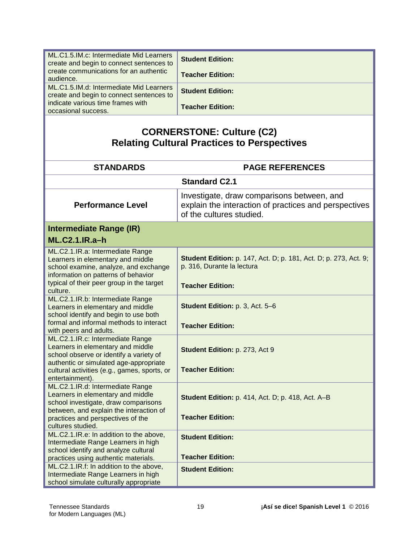| ML.C1.5.IM.c: Intermediate Mid Learners<br>create and begin to connect sentences to<br>create communications for an authentic                                                                      | <b>Student Edition:</b><br><b>Teacher Edition:</b>                                                                              |
|----------------------------------------------------------------------------------------------------------------------------------------------------------------------------------------------------|---------------------------------------------------------------------------------------------------------------------------------|
| audience.<br>ML.C1.5.IM.d: Intermediate Mid Learners                                                                                                                                               |                                                                                                                                 |
| create and begin to connect sentences to                                                                                                                                                           | <b>Student Edition:</b>                                                                                                         |
| indicate various time frames with                                                                                                                                                                  | <b>Teacher Edition:</b>                                                                                                         |
| occasional success.                                                                                                                                                                                |                                                                                                                                 |
| <b>CORNERSTONE: Culture (C2)</b><br><b>Relating Cultural Practices to Perspectives</b>                                                                                                             |                                                                                                                                 |
| <b>STANDARDS</b>                                                                                                                                                                                   | <b>PAGE REFERENCES</b>                                                                                                          |
|                                                                                                                                                                                                    | <b>Standard C2.1</b>                                                                                                            |
| <b>Performance Level</b>                                                                                                                                                                           | Investigate, draw comparisons between, and<br>explain the interaction of practices and perspectives<br>of the cultures studied. |
| Intermediate Range (IR)                                                                                                                                                                            |                                                                                                                                 |
| <b>ML.C2.1.IR.a-h</b>                                                                                                                                                                              |                                                                                                                                 |
| ML.C2.1.IR.a: Intermediate Range<br>Learners in elementary and middle<br>school examine, analyze, and exchange<br>information on patterns of behavior<br>typical of their peer group in the target | <b>Student Edition:</b> p. 147, Act. D; p. 181, Act. D; p. 273, Act. 9;<br>p. 316, Durante la lectura                           |
| culture.                                                                                                                                                                                           | <b>Teacher Edition:</b>                                                                                                         |
| ML.C2.1.IR.b: Intermediate Range<br>Learners in elementary and middle<br>school identify and begin to use both<br>formal and informal methods to interact                                          | Student Edition: p. 3, Act. 5-6                                                                                                 |
| with peers and adults.                                                                                                                                                                             | <b>Teacher Edition:</b>                                                                                                         |
| ML.C2.1.IR.c: Intermediate Range<br>Learners in elementary and middle<br>school observe or identify a variety of<br>authentic or simulated age-appropriate                                         | Student Edition: p. 273, Act 9                                                                                                  |
| cultural activities (e.g., games, sports, or<br>entertainment).                                                                                                                                    | <b>Teacher Edition:</b>                                                                                                         |
| ML.C2.1.IR.d: Intermediate Range<br>Learners in elementary and middle<br>school investigate, draw comparisons<br>between, and explain the interaction of                                           | <b>Student Edition: p. 414, Act. D; p. 418, Act. A-B</b>                                                                        |
| practices and perspectives of the<br>cultures studied.                                                                                                                                             | <b>Teacher Edition:</b>                                                                                                         |
| ML.C2.1.IR.e: In addition to the above,<br>Intermediate Range Learners in high<br>school identify and analyze cultural                                                                             | <b>Student Edition:</b>                                                                                                         |
| practices using authentic materials.                                                                                                                                                               | <b>Teacher Edition:</b>                                                                                                         |
| ML.C2.1.IR.f: In addition to the above,<br>Intermediate Range Learners in high<br>school simulate culturally appropriate                                                                           | <b>Student Edition:</b>                                                                                                         |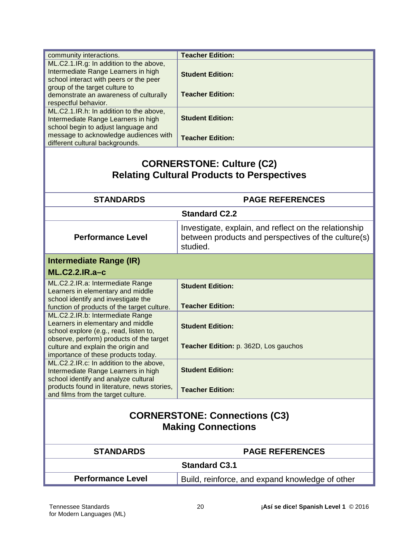| community interactions.                     | <b>Teacher Edition:</b>                               |  |
|---------------------------------------------|-------------------------------------------------------|--|
| ML.C2.1.IR.g: In addition to the above,     |                                                       |  |
| Intermediate Range Learners in high         | <b>Student Edition:</b>                               |  |
| school interact with peers or the peer      |                                                       |  |
| group of the target culture to              |                                                       |  |
| demonstrate an awareness of culturally      | <b>Teacher Edition:</b>                               |  |
| respectful behavior.                        |                                                       |  |
| ML.C2.1.IR.h: In addition to the above,     |                                                       |  |
| Intermediate Range Learners in high         | <b>Student Edition:</b>                               |  |
| school begin to adjust language and         |                                                       |  |
| message to acknowledge audiences with       | <b>Teacher Edition:</b>                               |  |
| different cultural backgrounds.             |                                                       |  |
|                                             |                                                       |  |
|                                             | <b>CORNERSTONE: Culture (C2)</b>                      |  |
|                                             |                                                       |  |
|                                             | <b>Relating Cultural Products to Perspectives</b>     |  |
|                                             |                                                       |  |
| <b>STANDARDS</b>                            | <b>PAGE REFERENCES</b>                                |  |
|                                             | <b>Standard C2.2</b>                                  |  |
|                                             | Investigate, explain, and reflect on the relationship |  |
| <b>Performance Level</b>                    | between products and perspectives of the culture(s)   |  |
|                                             |                                                       |  |
|                                             | studied.                                              |  |
| <b>Intermediate Range (IR)</b>              |                                                       |  |
| <b>ML.C2.2.IR.a-c</b>                       |                                                       |  |
|                                             |                                                       |  |
| ML.C2.2.IR.a: Intermediate Range            | <b>Student Edition:</b>                               |  |
| Learners in elementary and middle           |                                                       |  |
| school identify and investigate the         |                                                       |  |
| function of products of the target culture. | <b>Teacher Edition:</b>                               |  |
| ML.C2.2.IR.b: Intermediate Range            |                                                       |  |
| Learners in elementary and middle           | <b>Student Edition:</b>                               |  |
| school explore (e.g., read, listen to,      |                                                       |  |
| observe, perform) products of the target    |                                                       |  |
| culture and explain the origin and          | Teacher Edition: p. 362D, Los gauchos                 |  |
| importance of these products today.         |                                                       |  |
| ML.C2.2.IR.c: In addition to the above,     |                                                       |  |
| Intermediate Range Learners in high         | <b>Student Edition:</b>                               |  |
| school identify and analyze cultural        |                                                       |  |
| products found in literature, news stories, | <b>Teacher Edition:</b>                               |  |
| and films from the target culture.          |                                                       |  |
|                                             |                                                       |  |
|                                             | <b>CORNERSTONE: Connections (C3)</b>                  |  |
|                                             |                                                       |  |
| <b>Making Connections</b>                   |                                                       |  |
|                                             |                                                       |  |
| <b>STANDARDS</b>                            | <b>PAGE REFERENCES</b>                                |  |
|                                             |                                                       |  |
|                                             | <b>Standard C3.1</b>                                  |  |
| <b>Performance Level</b>                    | Build, reinforce, and expand knowledge of other       |  |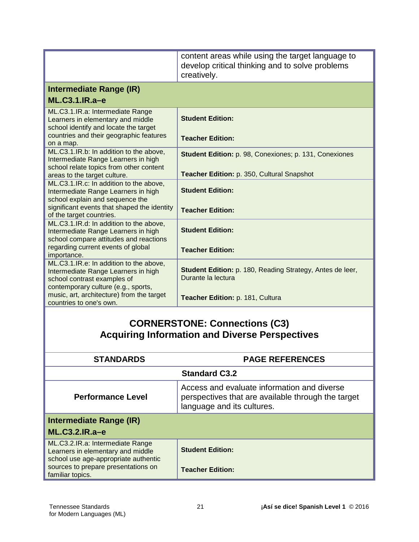|                                                                                                                                                      | content areas while using the target language to<br>develop critical thinking and to solve problems<br>creatively. |
|------------------------------------------------------------------------------------------------------------------------------------------------------|--------------------------------------------------------------------------------------------------------------------|
| Intermediate Range (IR)                                                                                                                              |                                                                                                                    |
| ML.C3.1.IR.a-e                                                                                                                                       |                                                                                                                    |
| ML.C3.1.IR.a: Intermediate Range<br>Learners in elementary and middle<br>school identify and locate the target                                       | <b>Student Edition:</b>                                                                                            |
| countries and their geographic features<br>on a map.                                                                                                 | <b>Teacher Edition:</b>                                                                                            |
| ML.C3.1.IR.b: In addition to the above,<br>Intermediate Range Learners in high<br>school relate topics from other content                            | <b>Student Edition: p. 98, Conexiones; p. 131, Conexiones</b>                                                      |
| areas to the target culture.                                                                                                                         | Teacher Edition: p. 350, Cultural Snapshot                                                                         |
| ML.C3.1.IR.c: In addition to the above,<br>Intermediate Range Learners in high<br>school explain and sequence the                                    | <b>Student Edition:</b>                                                                                            |
| significant events that shaped the identity<br>of the target countries.                                                                              | <b>Teacher Edition:</b>                                                                                            |
| ML.C3.1.IR.d: In addition to the above,<br>Intermediate Range Learners in high<br>school compare attitudes and reactions                             | <b>Student Edition:</b>                                                                                            |
| regarding current events of global<br>importance.                                                                                                    | <b>Teacher Edition:</b>                                                                                            |
| ML.C3.1.IR.e: In addition to the above,<br>Intermediate Range Learners in high<br>school contrast examples of<br>contemporary culture (e.g., sports, | <b>Student Edition:</b> p. 180, Reading Strategy, Antes de leer,<br>Durante la lectura                             |
| music, art, architecture) from the target<br>countries to one's own.                                                                                 | Teacher Edition: p. 181, Cultura                                                                                   |
| <b>CORNERSTONE: Connections (C3)</b><br><b>Acquiring Information and Diverse Perspectives</b>                                                        |                                                                                                                    |

| <b>STANDARDS</b>                                                                                              | <b>PAGE REFERENCES</b>                                                                                                          |  |
|---------------------------------------------------------------------------------------------------------------|---------------------------------------------------------------------------------------------------------------------------------|--|
| <b>Standard C3.2</b>                                                                                          |                                                                                                                                 |  |
| <b>Performance Level</b>                                                                                      | Access and evaluate information and diverse<br>perspectives that are available through the target<br>language and its cultures. |  |
| Intermediate Range (IR)<br><b>ML.C3.2.IR.a-e</b>                                                              |                                                                                                                                 |  |
| ML.C3.2.IR.a: Intermediate Range<br>Learners in elementary and middle<br>school use age-appropriate authentic | <b>Student Edition:</b>                                                                                                         |  |
| sources to prepare presentations on<br>familiar topics.                                                       | <b>Teacher Edition:</b>                                                                                                         |  |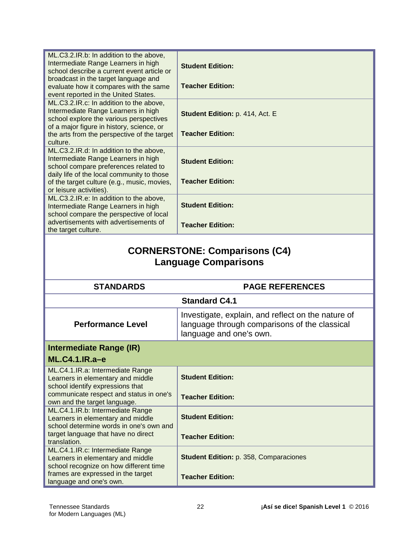| ML.C3.2.IR.b: In addition to the above,<br>Intermediate Range Learners in high<br>school describe a current event article or                                          | <b>Student Edition:</b>         |  |
|-----------------------------------------------------------------------------------------------------------------------------------------------------------------------|---------------------------------|--|
| broadcast in the target language and<br>evaluate how it compares with the same<br>event reported in the United States.                                                | <b>Teacher Edition:</b>         |  |
| ML.C3.2.IR.c: In addition to the above,<br>Intermediate Range Learners in high<br>school explore the various perspectives                                             | Student Edition: p. 414, Act. E |  |
| of a major figure in history, science, or<br>the arts from the perspective of the target<br>culture.                                                                  | <b>Teacher Edition:</b>         |  |
| ML.C3.2.IR.d: In addition to the above,<br>Intermediate Range Learners in high<br>school compare preferences related to<br>daily life of the local community to those | <b>Student Edition:</b>         |  |
| of the target culture (e.g., music, movies,<br>or leisure activities).                                                                                                | <b>Teacher Edition:</b>         |  |
| ML.C3.2.IR.e: In addition to the above,<br>Intermediate Range Learners in high<br>school compare the perspective of local                                             | <b>Student Edition:</b>         |  |
| advertisements with advertisements of<br>the target culture.                                                                                                          | <b>Teacher Edition:</b>         |  |
| <b>CORNERSTONE: Comparisons (C4)</b><br><b>Language Comparisons</b>                                                                                                   |                                 |  |
| <b>STANDARDS</b>                                                                                                                                                      | <b>PAGE REFERENCES</b>          |  |
| <b>Standard CA 1</b>                                                                                                                                                  |                                 |  |

|                                                                                                                  | <b>Standard C4.1</b>                                                                                                           |
|------------------------------------------------------------------------------------------------------------------|--------------------------------------------------------------------------------------------------------------------------------|
| <b>Performance Level</b>                                                                                         | Investigate, explain, and reflect on the nature of<br>language through comparisons of the classical<br>language and one's own. |
| Intermediate Range (IR)                                                                                          |                                                                                                                                |
| ML.C4.1.IR.a-e                                                                                                   |                                                                                                                                |
| ML.C4.1.IR.a: Intermediate Range<br>Learners in elementary and middle<br>school identify expressions that        | <b>Student Edition:</b>                                                                                                        |
| communicate respect and status in one's<br>own and the target language.                                          | <b>Teacher Edition:</b>                                                                                                        |
| ML.C4.1.IR.b: Intermediate Range<br>Learners in elementary and middle<br>school determine words in one's own and | <b>Student Edition:</b>                                                                                                        |
| target language that have no direct<br>translation.                                                              | <b>Teacher Edition:</b>                                                                                                        |
| ML.C4.1.IR.c: Intermediate Range<br>Learners in elementary and middle<br>school recognize on how different time  | <b>Student Edition: p. 358, Comparaciones</b>                                                                                  |
| frames are expressed in the target<br>ودويت المرابي مراجب ويرابط المربوع                                         | <b>Teacher Edition:</b>                                                                                                        |

language and one's own.